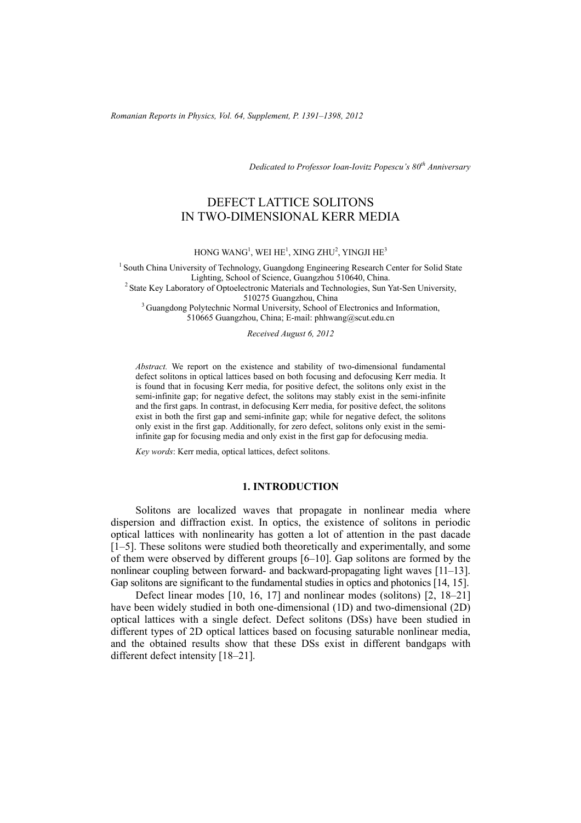*Romanian Reports in Physics, Vol. 64, Supplement, P. 1391–1398, 2012*

*Dedicated to Professor Ioan-Iovitz Popescu's 80th Anniversary*

# DEFECT LATTICE SOLITONS IN TWO-DIMENSIONAL KERR MEDIA

HONG WANG $^1\!,\rm{WEI}\, \rm{HE}^1\!,$  XING ZHU $^2\!,\rm{YINGJI}\, \rm{HE}^3$ 

<sup>1</sup> South China University of Technology, Guangdong Engineering Research Center for Solid State<br>Lighting. School of Science. Guangzhou 510640. China. <sup>2</sup> State Key Laboratory of Optoelectronic Materials and Technologies, Sun Yat-Sen University,<br>510275 Guangzhou, China <sup>3</sup> Guangdong Polytechnic Normal University, School of Electronics and Information, 510665 Guangzhou, China; E-mail: phhwang@scut.edu.cn

*Received August 6, 2012* 

*Abstract.* We report on the existence and stability of two-dimensional fundamental defect solitons in optical lattices based on both focusing and defocusing Kerr media. It is found that in focusing Kerr media, for positive defect, the solitons only exist in the semi-infinite gap; for negative defect, the solitons may stably exist in the semi-infinite and the first gaps. In contrast, in defocusing Kerr media, for positive defect, the solitons exist in both the first gap and semi-infinite gap; while for negative defect, the solitons only exist in the first gap. Additionally, for zero defect, solitons only exist in the semiinfinite gap for focusing media and only exist in the first gap for defocusing media.

*Key words*: Kerr media, optical lattices, defect solitons.

# **1. INTRODUCTION**

Solitons are localized waves that propagate in nonlinear media where dispersion and diffraction exist. In optics, the existence of solitons in periodic optical lattices with nonlinearity has gotten a lot of attention in the past dacade [1–5]. These solitons were studied both theoretically and experimentally, and some of them were observed by different groups [6–10]. Gap solitons are formed by the nonlinear coupling between forward- and backward-propagating light waves [11–13]. Gap solitons are significant to the fundamental studies in optics and photonics [14, 15].

Defect linear modes [10, 16, 17] and nonlinear modes (solitons) [2, 18–21] have been widely studied in both one-dimensional (1D) and two-dimensional (2D) optical lattices with a single defect. Defect solitons (DSs) have been studied in different types of 2D optical lattices based on focusing saturable nonlinear media, and the obtained results show that these DSs exist in different bandgaps with different defect intensity [18–21].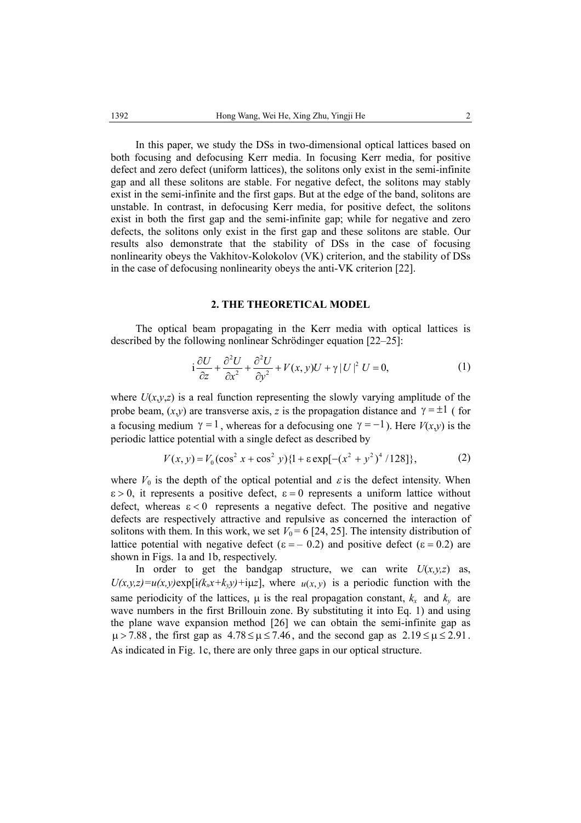In this paper, we study the DSs in two-dimensional optical lattices based on both focusing and defocusing Kerr media. In focusing Kerr media, for positive defect and zero defect (uniform lattices), the solitons only exist in the semi-infinite gap and all these solitons are stable. For negative defect, the solitons may stably exist in the semi-infinite and the first gaps. But at the edge of the band, solitons are unstable. In contrast, in defocusing Kerr media, for positive defect, the solitons exist in both the first gap and the semi-infinite gap; while for negative and zero defects, the solitons only exist in the first gap and these solitons are stable. Our results also demonstrate that the stability of DSs in the case of focusing nonlinearity obeys the Vakhitov-Kolokolov (VK) criterion, and the stability of DSs in the case of defocusing nonlinearity obeys the anti-VK criterion [22].

#### **2. THE THEORETICAL MODEL**

The optical beam propagating in the Kerr media with optical lattices is described by the following nonlinear Schrödinger equation [22–25]:

$$
i\frac{\partial U}{\partial z} + \frac{\partial^2 U}{\partial x^2} + \frac{\partial^2 U}{\partial y^2} + V(x, y)U + \gamma |U|^2 U = 0,
$$
 (1)

where  $U(x, y, z)$  is a real function representing the slowly varying amplitude of the probe beam,  $(x,y)$  are transverse axis, *z* is the propagation distance and  $\gamma = \pm 1$  ( for a focusing medium  $\gamma = 1$ , whereas for a defocusing one  $\gamma = -1$ ). Here  $V(x, y)$  is the periodic lattice potential with a single defect as described by

$$
V(x, y) = V_0 (\cos^2 x + \cos^2 y) \{1 + \varepsilon \exp[-(x^2 + y^2)^4 / 128]\},
$$
 (2)

where  $V_0$  is the depth of the optical potential and  $\varepsilon$  is the defect intensity. When  $\epsilon > 0$ , it represents a positive defect,  $\epsilon = 0$  represents a uniform lattice without defect, whereas  $\epsilon < 0$  represents a negative defect. The positive and negative defects are respectively attractive and repulsive as concerned the interaction of solitons with them. In this work, we set  $V_0 = 6$  [24, 25]. The intensity distribution of lattice potential with negative defect ( $\varepsilon = -0.2$ ) and positive defect ( $\varepsilon = 0.2$ ) are shown in Figs. 1a and 1b, respectively.

In order to get the bandgap structure, we can write  $U(x, y, z)$  as,  $U(x,y,z)=u(x,y)exp[i(k_xx+k_yy)+i\mu z]$ , where  $u(x,y)$  is a periodic function with the same periodicity of the lattices,  $\mu$  is the real propagation constant,  $k_x$  and  $k_y$  are wave numbers in the first Brillouin zone. By substituting it into Eq. 1) and using the plane wave expansion method [26] we can obtain the semi-infinite gap as  $\mu$  > 7.88, the first gap as 4.78 ≤  $\mu$  ≤ 7.46, and the second gap as 2.19 ≤  $\mu$  ≤ 2.91. As indicated in Fig. 1c, there are only three gaps in our optical structure.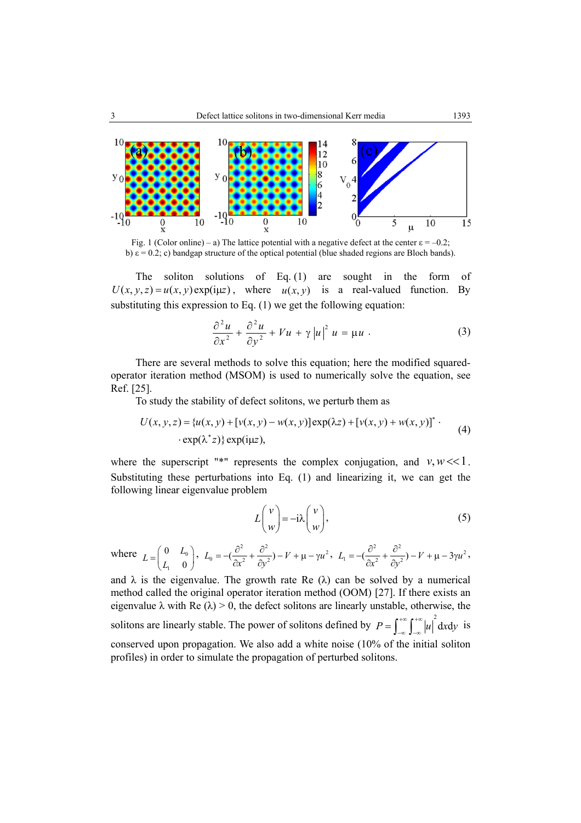

Fig. 1 (Color online) – a) The lattice potential with a negative defect at the center  $\varepsilon = -0.2$ ; b)  $\varepsilon = 0.2$ ; c) bandgap structure of the optical potential (blue shaded regions are Bloch bands).

The soliton solutions of Eq. (1) are sought in the form of  $U(x, y, z) = u(x, y) \exp(i\mu z)$ , where  $u(x, y)$  is a real-valued function. By substituting this expression to Eq. (1) we get the following equation:

$$
\frac{\partial^2 u}{\partial x^2} + \frac{\partial^2 u}{\partial y^2} + V u + \gamma |u|^2 u = \mu u \ . \tag{3}
$$

There are several methods to solve this equation; here the modified squaredoperator iteration method (MSOM) is used to numerically solve the equation, see Ref. [25].

To study the stability of defect solitons, we perturb them as

$$
U(x, y, z) = {u(x, y) + [v(x, y) - w(x, y)]exp(\lambda z) + [v(x, y) + w(x, y)]^* \cdot \exp(\lambda^* z)}exp(i\mu z),
$$
\n(4)

where the superscript "\*" represents the complex conjugation, and  $v, w \ll 1$ . Substituting these perturbations into Eq. (1) and linearizing it, we can get the following linear eigenvalue problem

$$
L\begin{pmatrix} v \\ w \end{pmatrix} = -i\lambda \begin{pmatrix} v \\ w \end{pmatrix},
$$
 (5)

where  $I = \begin{bmatrix} 0 & L_0 \\ 0 & L_0 \end{bmatrix}$ 1 0 0  $L = \begin{pmatrix} 0 & L_0 \\ L_1 & 0 \end{pmatrix}$ ,  $L_0 = -(\frac{\partial^2}{\partial x^2} + \frac{\partial^2}{\partial y^2}) - V + \mu - \gamma u^2$  $=-(\frac{\partial^2}{\partial x^2}+\frac{\partial^2}{\partial y^2})-V+\mu-\gamma u^2, \ \ L_1=-(\frac{\partial^2}{\partial x^2}+\frac{\partial^2}{\partial y^2})-V+\mu-3\gamma u^2,$ 

and  $\lambda$  is the eigenvalue. The growth rate Re  $(\lambda)$  can be solved by a numerical method called the original operator iteration method (OOM) [27]. If there exists an eigenvalue  $\lambda$  with Re ( $\lambda$ ) > 0, the defect solitons are linearly unstable, otherwise, the solitons are linearly stable. The power of solitons defined by  $P = \int_{-\infty}^{+\infty} \int_{-\infty}^{+\infty} |u|^2 dxdy$  is conserved upon propagation. We also add a white noise (10% of the initial soliton profiles) in order to simulate the propagation of perturbed solitons.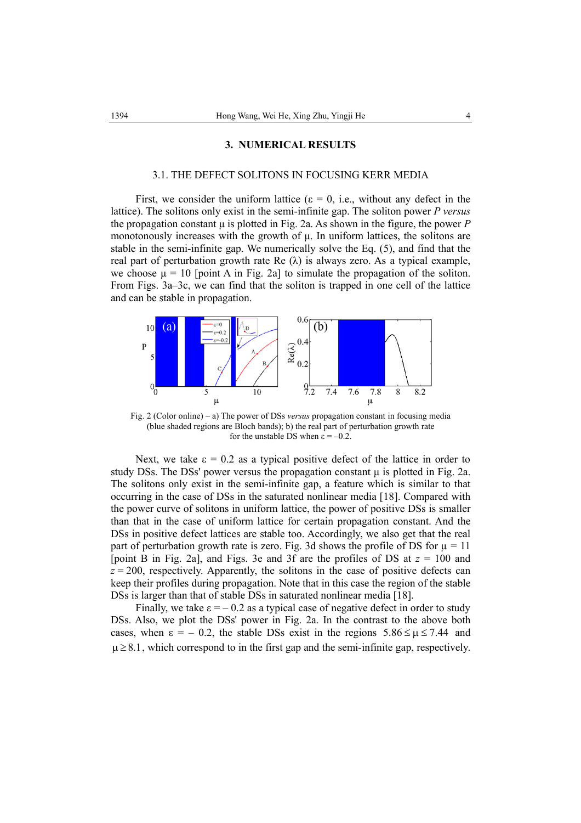# **3. NUMERICAL RESULTS**

#### 3.1. THE DEFECT SOLITONS IN FOCUSING KERR MEDIA

First, we consider the uniform lattice ( $\varepsilon = 0$ , i.e., without any defect in the lattice). The solitons only exist in the semi-infinite gap. The soliton power *P versus* the propagation constant  $\mu$  is plotted in Fig. 2a. As shown in the figure, the power  $P$ monotonously increases with the growth of  $\mu$ . In uniform lattices, the solitons are stable in the semi-infinite gap. We numerically solve the Eq. (5), and find that the real part of perturbation growth rate Re  $(\lambda)$  is always zero. As a typical example, we choose  $\mu = 10$  [point A in Fig. 2a] to simulate the propagation of the soliton. From Figs. 3a–3c, we can find that the soliton is trapped in one cell of the lattice and can be stable in propagation.



Fig. 2 (Color online) – a) The power of DSs *versus* propagation constant in focusing media (blue shaded regions are Bloch bands); b) the real part of perturbation growth rate for the unstable DS when  $\varepsilon = -0.2$ .

Next, we take  $\epsilon = 0.2$  as a typical positive defect of the lattice in order to study DSs. The DSs' power versus the propagation constant  $\mu$  is plotted in Fig. 2a. The solitons only exist in the semi-infinite gap, a feature which is similar to that occurring in the case of DSs in the saturated nonlinear media [18]. Compared with the power curve of solitons in uniform lattice, the power of positive DSs is smaller than that in the case of uniform lattice for certain propagation constant. And the DSs in positive defect lattices are stable too. Accordingly, we also get that the real part of perturbation growth rate is zero. Fig. 3d shows the profile of DS for  $\mu = 11$ [point B in Fig. 2a], and Figs. 3e and 3f are the profiles of DS at *z* = 100 and  $z = 200$ , respectively. Apparently, the solitons in the case of positive defects can keep their profiles during propagation. Note that in this case the region of the stable DSs is larger than that of stable DSs in saturated nonlinear media [18].

Finally, we take  $\varepsilon = -0.2$  as a typical case of negative defect in order to study DSs. Also, we plot the DSs' power in Fig. 2a. In the contrast to the above both cases, when  $\varepsilon = -0.2$ , the stable DSs exist in the regions  $5.86 \le \mu \le 7.44$  and  $\mu \geq 8.1$ , which correspond to in the first gap and the semi-infinite gap, respectively.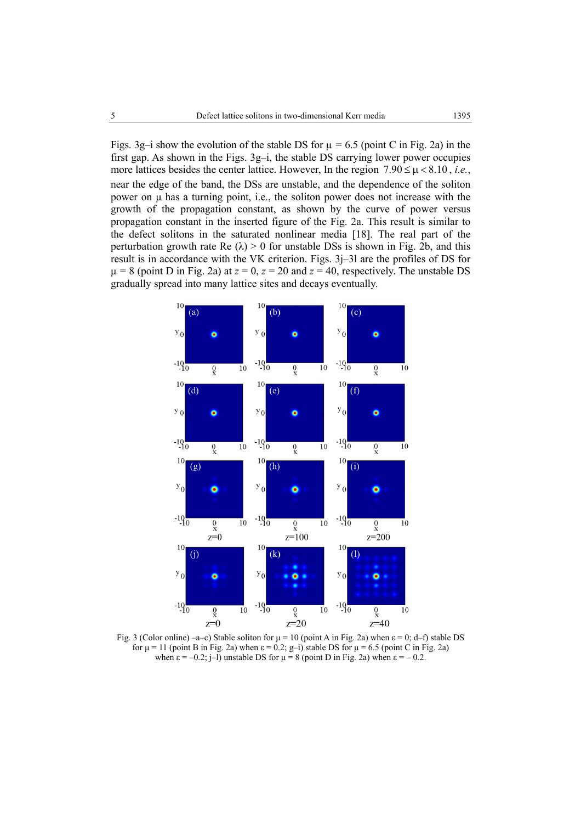Figs. 3g–i show the evolution of the stable DS for  $\mu = 6.5$  (point C in Fig. 2a) in the first gap. As shown in the Figs. 3g–i, the stable DS carrying lower power occupies more lattices besides the center lattice. However, In the region  $7.90 \le \mu < 8.10$ , *i.e.*, near the edge of the band, the DSs are unstable, and the dependence of the soliton power on  $\mu$  has a turning point, i.e., the soliton power does not increase with the growth of the propagation constant, as shown by the curve of power versus propagation constant in the inserted figure of the Fig. 2a. This result is similar to the defect solitons in the saturated nonlinear media [18]. The real part of the perturbation growth rate Re  $(\lambda) > 0$  for unstable DSs is shown in Fig. 2b, and this result is in accordance with the VK criterion. Figs. 3j–3l are the profiles of DS for  $\mu = 8$  (point D in Fig. 2a) at  $z = 0$ ,  $z = 20$  and  $z = 40$ , respectively. The unstable DS gradually spread into many lattice sites and decays eventually.



Fig. 3 (Color online) –a–c) Stable soliton for  $\mu = 10$  (point A in Fig. 2a) when  $\varepsilon = 0$ ; d–f) stable DS for  $\mu$  = 11 (point B in Fig. 2a) when  $\varepsilon$  = 0.2; g-i) stable DS for  $\mu$  = 6.5 (point C in Fig. 2a) when  $\varepsilon = -0.2$ ; j–l) unstable DS for  $\mu = 8$  (point D in Fig. 2a) when  $\varepsilon = -0.2$ .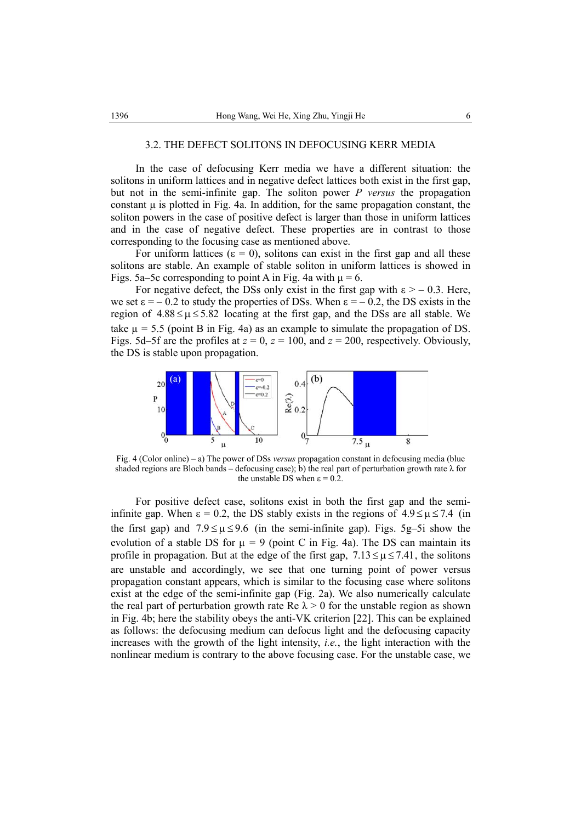### 3.2. THE DEFECT SOLITONS IN DEFOCUSING KERR MEDIA

In the case of defocusing Kerr media we have a different situation: the solitons in uniform lattices and in negative defect lattices both exist in the first gap, but not in the semi-infinite gap. The soliton power *P versus* the propagation constant  $\mu$  is plotted in Fig. 4a. In addition, for the same propagation constant, the soliton powers in the case of positive defect is larger than those in uniform lattices and in the case of negative defect. These properties are in contrast to those corresponding to the focusing case as mentioned above.

For uniform lattices ( $\varepsilon = 0$ ), solitons can exist in the first gap and all these solitons are stable. An example of stable soliton in uniform lattices is showed in Figs. 5a–5c corresponding to point A in Fig. 4a with  $\mu = 6$ .

For negative defect, the DSs only exist in the first gap with  $\varepsilon > -0.3$ . Here, we set  $\varepsilon = -0.2$  to study the properties of DSs. When  $\varepsilon = -0.2$ , the DS exists in the region of  $4.88 \le \mu \le 5.82$  locating at the first gap, and the DSs are all stable. We take  $\mu$  = 5.5 (point B in Fig. 4a) as an example to simulate the propagation of DS. Figs. 5d–5f are the profiles at  $z = 0$ ,  $z = 100$ , and  $z = 200$ , respectively. Obviously, the DS is stable upon propagation.



Fig. 4 (Color online) – a) The power of DSs *versus* propagation constant in defocusing media (blue shaded regions are Bloch bands – defocusing case); b) the real part of perturbation growth rate  $\lambda$  for the unstable DS when  $ε = 0.2$ .

For positive defect case, solitons exist in both the first gap and the semiinfinite gap. When  $\epsilon = 0.2$ , the DS stably exists in the regions of  $4.9 \le \mu \le 7.4$  (in the first gap) and  $7.9 \le \mu \le 9.6$  (in the semi-infinite gap). Figs. 5g–5i show the evolution of a stable DS for  $\mu = 9$  (point C in Fig. 4a). The DS can maintain its profile in propagation. But at the edge of the first gap,  $7.13 \le \mu \le 7.41$ , the solitons are unstable and accordingly, we see that one turning point of power versus propagation constant appears, which is similar to the focusing case where solitons exist at the edge of the semi-infinite gap (Fig. 2a). We also numerically calculate the real part of perturbation growth rate Re  $\lambda > 0$  for the unstable region as shown in Fig. 4b; here the stability obeys the anti-VK criterion [22]. This can be explained as follows: the defocusing medium can defocus light and the defocusing capacity increases with the growth of the light intensity, *i.e.*, the light interaction with the nonlinear medium is contrary to the above focusing case. For the unstable case, we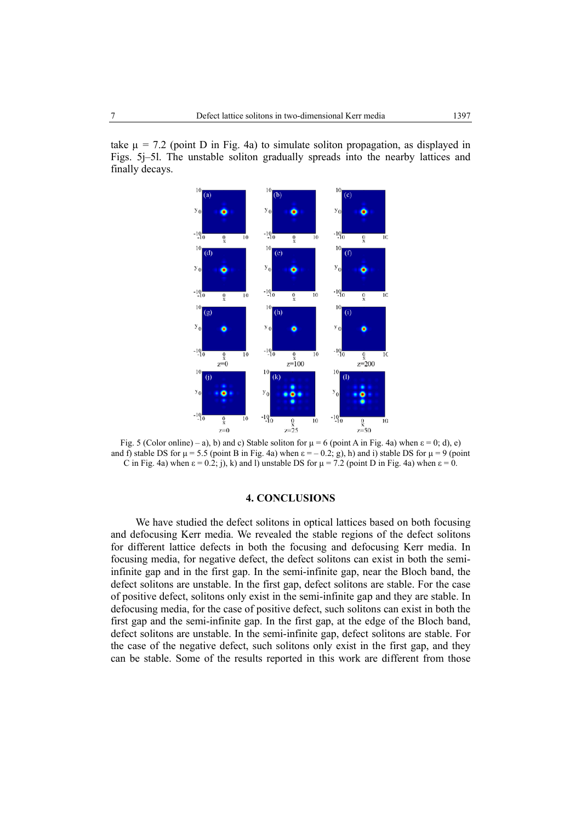take  $\mu$  = 7.2 (point D in Fig. 4a) to simulate soliton propagation, as displayed in Figs. 5j–5l. The unstable soliton gradually spreads into the nearby lattices and finally decays.



Fig. 5 (Color online) – a), b) and c) Stable soliton for  $\mu = 6$  (point A in Fig. 4a) when  $\varepsilon = 0$ ; d), e) and f) stable DS for  $\mu = 5.5$  (point B in Fig. 4a) when  $\varepsilon = -0.2$ ; g), h) and i) stable DS for  $\mu = 9$  (point C in Fig. 4a) when  $\varepsilon = 0.2$ ; j), k) and l) unstable DS for  $\mu = 7.2$  (point D in Fig. 4a) when  $\varepsilon = 0$ .

# **4. CONCLUSIONS**

We have studied the defect solitons in optical lattices based on both focusing and defocusing Kerr media. We revealed the stable regions of the defect solitons for different lattice defects in both the focusing and defocusing Kerr media. In focusing media, for negative defect, the defect solitons can exist in both the semiinfinite gap and in the first gap. In the semi-infinite gap, near the Bloch band, the defect solitons are unstable. In the first gap, defect solitons are stable. For the case of positive defect, solitons only exist in the semi-infinite gap and they are stable. In defocusing media, for the case of positive defect, such solitons can exist in both the first gap and the semi-infinite gap. In the first gap, at the edge of the Bloch band, defect solitons are unstable. In the semi-infinite gap, defect solitons are stable. For the case of the negative defect, such solitons only exist in the first gap, and they can be stable. Some of the results reported in this work are different from those